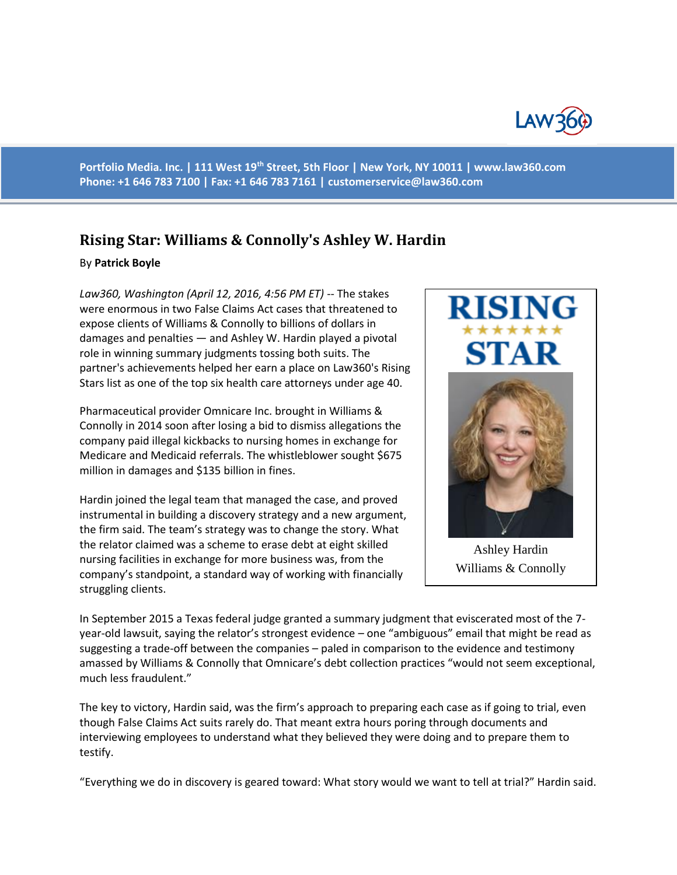

**Portfolio Media. Inc. | 111 West 19th Street, 5th Floor | New York, NY 10011 | www.law360.com Phone: +1 646 783 7100 | Fax: +1 646 783 7161 | [customerservice@law360.com](mailto:customerservice@law360.com)**

## **Rising Star: Williams & Connolly's Ashley W. Hardin**

## By **Patrick Boyle**

*Law360, Washington (April 12, 2016, 4:56 PM ET)* -- The stakes were enormous in two False Claims Act cases that threatened to expose clients of Williams & Connolly to billions of dollars in damages and penalties — and Ashley W. Hardin played a pivotal role in winning summary judgments tossing both suits. The partner's achievements helped her earn a place on Law360's Rising Stars list as one of the top six health care attorneys under age 40.

Pharmaceutical provider Omnicare Inc. brought in Williams & Connolly in 2014 soon after losing a bid to dismiss allegations the company paid illegal kickbacks to nursing homes in exchange for Medicare and Medicaid referrals. The whistleblower sought \$675 million in damages and \$135 billion in fines.

Hardin joined the legal team that managed the case, and proved instrumental in building a discovery strategy and a new argument, the firm said. The team's strategy was to change the story. What the relator claimed was a scheme to erase debt at eight skilled nursing facilities in exchange for more business was, from the company's standpoint, a standard way of working with financially struggling clients.



Ashley Hardin Williams & Connolly

In September 2015 a Texas federal judge granted a summary judgment that eviscerated most of the 7 year-old lawsuit, saying the relator's strongest evidence – one "ambiguous" email that might be read as suggesting a trade-off between the companies – paled in comparison to the evidence and testimony amassed by Williams & Connolly that Omnicare's debt collection practices "would not seem exceptional, much less fraudulent."

The key to victory, Hardin said, was the firm's approach to preparing each case as if going to trial, even though False Claims Act suits rarely do. That meant extra hours poring through documents and interviewing employees to understand what they believed they were doing and to prepare them to testify.

"Everything we do in discovery is geared toward: What story would we want to tell at trial?" Hardin said.